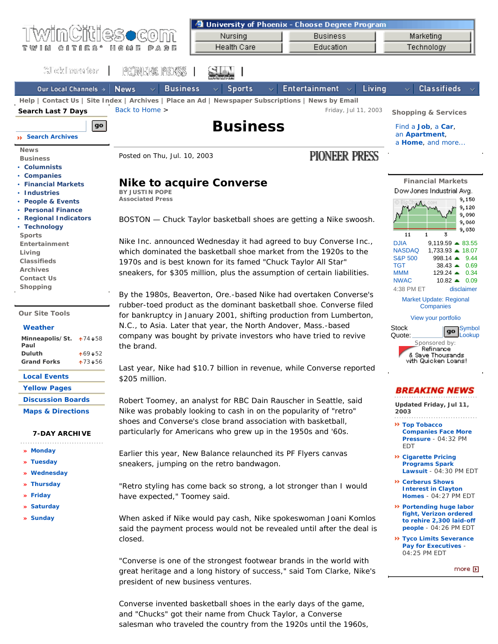|                                                                                                     |                                                                                                                                                       | <b>El University of Phoenix - Choose Degree Program</b>                |                                |                                                           |
|-----------------------------------------------------------------------------------------------------|-------------------------------------------------------------------------------------------------------------------------------------------------------|------------------------------------------------------------------------|--------------------------------|-----------------------------------------------------------|
|                                                                                                     |                                                                                                                                                       | Nursing                                                                | <b>Business</b>                | Marketing                                                 |
|                                                                                                     |                                                                                                                                                       | <b>Health Care</b>                                                     | Education                      | Technology                                                |
| CITIES                                                                                              | HOME<br>a d E                                                                                                                                         |                                                                        |                                |                                                           |
|                                                                                                     |                                                                                                                                                       |                                                                        |                                |                                                           |
| GU elk herre ferr                                                                                   | PIONEKI PRKSS                                                                                                                                         |                                                                        |                                |                                                           |
|                                                                                                     |                                                                                                                                                       |                                                                        |                                |                                                           |
| Our Local Channels »                                                                                | <b>Business</b><br><b>News</b>                                                                                                                        | <b>Sports</b>                                                          | Living<br><b>Entertainment</b> | <b>Classifieds</b>                                        |
| Help   Contact Us   Site Index   Archives   Place an Ad   Newspaper Subscriptions   News by Email   |                                                                                                                                                       |                                                                        |                                |                                                           |
| Search Last 7 Days                                                                                  | Back to Home >                                                                                                                                        |                                                                        | Friday, Jul 11, 2003           |                                                           |
|                                                                                                     |                                                                                                                                                       |                                                                        |                                | <b>Shopping &amp; Services</b>                            |
| <b>Business</b><br> 90                                                                              |                                                                                                                                                       |                                                                        |                                | Find a Job, a Car,                                        |
| Search Archives                                                                                     |                                                                                                                                                       |                                                                        |                                | an Apartment,                                             |
| <b>News</b>                                                                                         |                                                                                                                                                       |                                                                        |                                | a <b>Home</b> , and more                                  |
| <b>Business</b>                                                                                     | Posted on Thu, Jul. 10, 2003                                                                                                                          |                                                                        | <b>PIONEER PRESS</b>           |                                                           |
| • Columnists                                                                                        |                                                                                                                                                       |                                                                        |                                |                                                           |
| • Companies                                                                                         |                                                                                                                                                       |                                                                        |                                |                                                           |
| • Financial Markets                                                                                 | <b>Nike to acquire Converse</b>                                                                                                                       | <b>Financial Markets</b>                                               |                                |                                                           |
| <b>Industries</b>                                                                                   | <b>BY JUSTIN POPE</b>                                                                                                                                 | Dow Jones Industrial Avg.                                              |                                |                                                           |
| <b>People &amp; Events</b>                                                                          | <b>Associated Press</b>                                                                                                                               | 9,150                                                                  |                                |                                                           |
| • Personal Finance                                                                                  | 9,120<br>9,090                                                                                                                                        |                                                                        |                                |                                                           |
| • Regional Indicators                                                                               | BOSTON - Chuck Taylor basketball shoes are getting a Nike swoosh.<br>9,060                                                                            |                                                                        |                                |                                                           |
| • Technology                                                                                        | 9,030                                                                                                                                                 |                                                                        |                                |                                                           |
| <b>Sports</b>                                                                                       | 11<br>3<br>1<br>Nike Inc. announced Wednesday it had agreed to buy Converse Inc.,                                                                     |                                                                        |                                |                                                           |
| Entertainment                                                                                       | <b>DJIA</b><br>$9,119.59 = 83.55$<br><b>NASDAQ</b><br>$1,733.93 = 18.07$<br>which dominated the basketball shoe market from the 1920s to the          |                                                                        |                                |                                                           |
| Living<br><b>Classifieds</b>                                                                        | <b>S&amp;P 500</b><br>$998.14 - 9.44$                                                                                                                 |                                                                        |                                |                                                           |
| <b>Archives</b>                                                                                     | 1970s and is best known for its famed "Chuck Taylor All Star"<br>TGT<br>$38.43 \triangleq 0.69$                                                       |                                                                        |                                |                                                           |
| <b>Contact Us</b>                                                                                   | sneakers, for \$305 million, plus the assumption of certain liabilities.<br><b>MMM</b><br>$129.24 \pm 0.34$<br><b>NWAC</b><br>$10.82 - 0.09$          |                                                                        |                                |                                                           |
| Shopping                                                                                            | 4:38 PM ET<br>disclaimer                                                                                                                              |                                                                        |                                |                                                           |
| By the 1980s, Beaverton, Ore.-based Nike had overtaken Converse's<br><b>Market Update: Regional</b> |                                                                                                                                                       |                                                                        |                                |                                                           |
|                                                                                                     | rubber-toed product as the dominant basketball shoe. Converse filed<br>Companies                                                                      |                                                                        |                                |                                                           |
| <b>Our Site Tools</b>                                                                               | for bankruptcy in January 2001, shifting production from Lumberton,<br>View your portfolio                                                            |                                                                        |                                |                                                           |
| Weather                                                                                             | N.C., to Asia. Later that year, the North Andover, Mass.-based<br><b>Stock</b>                                                                        |                                                                        |                                |                                                           |
|                                                                                                     | <b>Symbol</b><br>go<br>Lookup<br>Quote:<br>company was bought by private investors who have tried to revive                                           |                                                                        |                                |                                                           |
| Minneapolis/St. $+74+58$<br>Paul                                                                    | Sponsored by:<br>the brand.                                                                                                                           |                                                                        |                                |                                                           |
| <b>Duluth</b><br>$+69 + 52$                                                                         | Refinance<br>& Save Thousands                                                                                                                         |                                                                        |                                |                                                           |
| <b>Grand Forks</b><br>$+73+56$                                                                      | with Quicken Loans!                                                                                                                                   |                                                                        |                                |                                                           |
|                                                                                                     | Last year, Nike had \$10.7 billion in revenue, while Converse reported                                                                                |                                                                        |                                |                                                           |
| <b>Local Events</b>                                                                                 | \$205 million.                                                                                                                                        |                                                                        |                                |                                                           |
| <b>Yellow Pages</b>                                                                                 |                                                                                                                                                       |                                                                        |                                | <i><b>BREAKING NEWS</b></i>                               |
| <b>Discussion Boards</b>                                                                            | Robert Toomey, an analyst for RBC Dain Rauscher in Seattle, said                                                                                      |                                                                        |                                |                                                           |
| <b>Maps &amp; Directions</b>                                                                        | Nike was probably looking to cash in on the popularity of "retro"<br>shoes and Converse's close brand association with basketball,                    |                                                                        |                                | Updated Friday, Jul 11,<br>2003                           |
|                                                                                                     |                                                                                                                                                       |                                                                        |                                |                                                           |
|                                                                                                     |                                                                                                                                                       |                                                                        |                                | <b>→ Top Tobacco</b>                                      |
| <b>7-DAY ARCHIVE</b>                                                                                |                                                                                                                                                       | particularly for Americans who grew up in the 1950s and '60s.          |                                | <b>Companies Face More</b><br>Pressure - 04:32 PM         |
|                                                                                                     |                                                                                                                                                       |                                                                        |                                | EDT                                                       |
| » Monday                                                                                            |                                                                                                                                                       | Earlier this year, New Balance relaunched its PF Flyers canvas         |                                | <b>→ Cigarette Pricing</b>                                |
| » Tuesday                                                                                           |                                                                                                                                                       | sneakers, jumping on the retro bandwagon.                              |                                | <b>Programs Spark</b>                                     |
| » Wednesday                                                                                         |                                                                                                                                                       |                                                                        |                                | <b>Lawsuit - 04:30 PM EDT</b>                             |
| » Thursday                                                                                          | ** Cerberus Shows<br>"Retro styling has come back so strong, a lot stronger than I would                                                              |                                                                        |                                |                                                           |
| » Friday                                                                                            | have expected," Toomey said.                                                                                                                          |                                                                        |                                | <b>Interest in Clayton</b><br><b>Homes</b> - 04:27 PM EDT |
|                                                                                                     |                                                                                                                                                       |                                                                        |                                |                                                           |
| » Saturday                                                                                          | → Portending huge labor<br>fight, Verizon ordered                                                                                                     |                                                                        |                                |                                                           |
| » Sunday                                                                                            | When asked if Nike would pay cash, Nike spokeswoman Joani Komlos<br>said the payment process would not be revealed until after the deal is<br>closed. |                                                                        |                                | to rehire 2,300 laid-off                                  |
|                                                                                                     |                                                                                                                                                       |                                                                        |                                | $people - 04:26 PM EDT$                                   |
|                                                                                                     |                                                                                                                                                       |                                                                        |                                | ** Tyco Limits Severance                                  |
|                                                                                                     |                                                                                                                                                       |                                                                        |                                | <b>Pay for Executives -</b><br>04:25 PM EDT               |
|                                                                                                     | "Converse is one of the strongest footwear brands in the world with                                                                                   |                                                                        |                                |                                                           |
|                                                                                                     |                                                                                                                                                       |                                                                        |                                |                                                           |
|                                                                                                     |                                                                                                                                                       | great heritage and a long history of success," said Tom Clarke, Nike's |                                |                                                           |
| president of new business ventures.                                                                 |                                                                                                                                                       |                                                                        |                                |                                                           |
|                                                                                                     |                                                                                                                                                       |                                                                        |                                |                                                           |

Converse invented basketball shoes in the early days of the game, and "Chucks" got their name from Chuck Taylor, a Converse salesman who traveled the country from the 1920s until the 1960s,